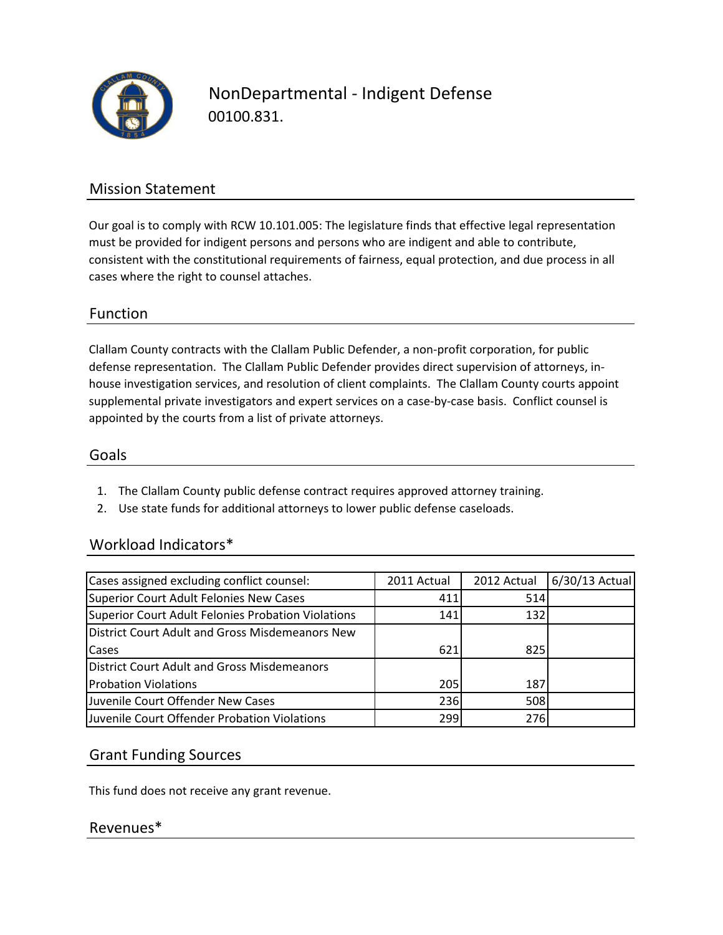

NonDepartmental - Indigent Defense 00100.831.

## Mission Statement

Our goal is to comply with RCW 10.101.005: The legislature finds that effective legal representation must be provided for indigent persons and persons who are indigent and able to contribute, consistent with the constitutional requirements of fairness, equal protection, and due process in all cases where the right to counsel attaches.

### Function

Clallam County contracts with the Clallam Public Defender, a non-profit corporation, for public defense representation. The Clallam Public Defender provides direct supervision of attorneys, inhouse investigation services, and resolution of client complaints. The Clallam County courts appoint supplemental private investigators and expert services on a case-by-case basis. Conflict counsel is appointed by the courts from a list of private attorneys.

#### Goals

- 1. The Clallam County public defense contract requires approved attorney training.
- 2. Use state funds for additional attorneys to lower public defense caseloads.

#### Workload Indicators\*

| Cases assigned excluding conflict counsel:         | 2011 Actual | 2012 Actual | 6/30/13 Actual |
|----------------------------------------------------|-------------|-------------|----------------|
| Superior Court Adult Felonies New Cases            | 411         | 514         |                |
| Superior Court Adult Felonies Probation Violations | 141         | 132         |                |
| District Court Adult and Gross Misdemeanors New    |             |             |                |
| Cases                                              | 621         | 825         |                |
| District Court Adult and Gross Misdemeanors        |             |             |                |
| <b>Probation Violations</b>                        | 205         | 187         |                |
| Juvenile Court Offender New Cases                  | 236         | 508         |                |
| Juvenile Court Offender Probation Violations       | 2991        | 276         |                |

#### Grant Funding Sources

This fund does not receive any grant revenue.

#### Revenues\*